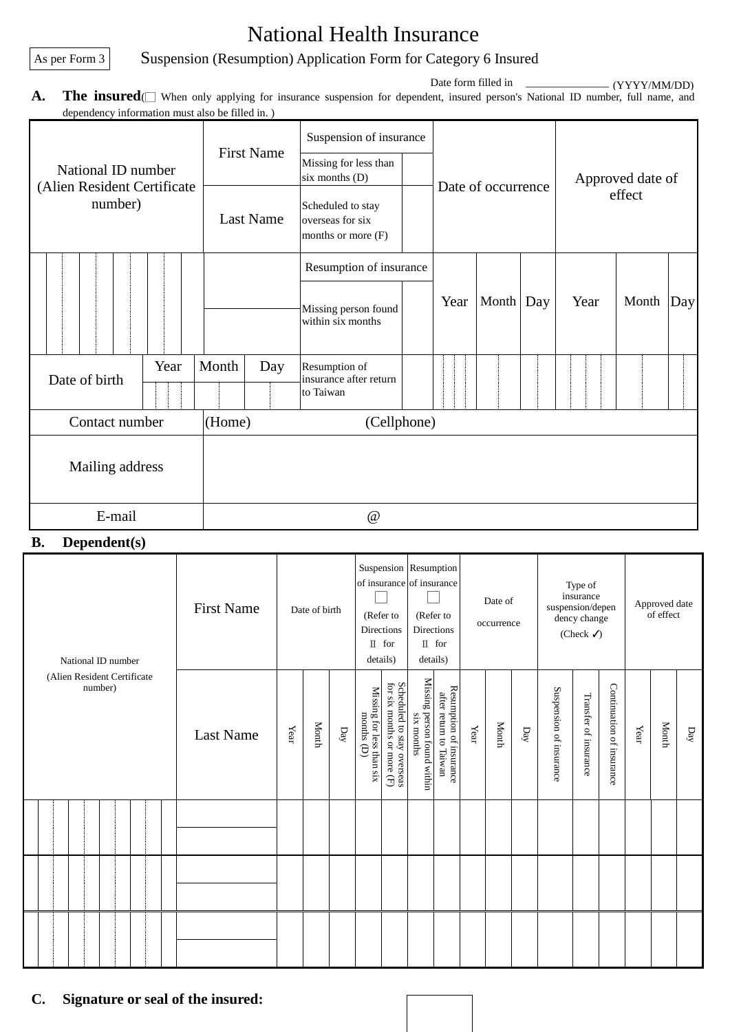# National Health Insurance

As per Form 3 Suspension (Resumption) Application Form for Category 6 Insured

**A.** The insured(□ When only applying for insurance suspension for dependent, insured person's National ID number, full name, and dependency information must also be filled in. ) Date form filled in (YYYY/MM/DD)

| $\alpha$ acpendency information must also be fined in. | <b>First Name</b>     |              | Suspension of insurance<br>Missing for less than            |                                           |                    |           |                  |      |       |     |  |
|--------------------------------------------------------|-----------------------|--------------|-------------------------------------------------------------|-------------------------------------------|--------------------|-----------|------------------|------|-------|-----|--|
| National ID number<br>(Alien Resident Certificate      |                       |              | six months (D)                                              |                                           | Date of occurrence |           | Approved date of |      |       |     |  |
| number)                                                |                       | Last Name    | Scheduled to stay<br>overseas for six<br>months or more (F) |                                           |                    |           | effect           |      |       |     |  |
|                                                        |                       |              |                                                             | Resumption of insurance                   |                    |           |                  |      |       | Day |  |
|                                                        |                       |              |                                                             | Missing person found<br>within six months | Year               | Month Day |                  | Year | Month |     |  |
| Date of birth                                          | Year                  | Month<br>Day |                                                             | Resumption of<br>insurance after return   |                    |           |                  |      |       |     |  |
|                                                        |                       |              |                                                             | to Taiwan                                 |                    |           |                  |      |       |     |  |
| Contact number                                         | (Home)<br>(Cellphone) |              |                                                             |                                           |                    |           |                  |      |       |     |  |
| Mailing address                                        |                       |              |                                                             |                                           |                    |           |                  |      |       |     |  |
| E-mail                                                 | @                     |              |                                                             |                                           |                    |           |                  |      |       |     |  |

## **B. Dependent(s)**

| National ID number                     | <b>First Name</b> | Date of birth |       | Suspension Resumption<br>of insurance of insurance<br>(Refer to<br><b>Directions</b><br>$\mathbb I$ for<br>details) |                                           | (Refer to<br><b>Directions</b><br>$\mathbb I$ for<br>details) |                                           | Date of<br>occurrence                             |      | Type of<br>insurance<br>suspension/depen<br>dency change<br>(Check $\checkmark$ ) |              |                         | Approved date<br>of effect |                           |      |       |                 |
|----------------------------------------|-------------------|---------------|-------|---------------------------------------------------------------------------------------------------------------------|-------------------------------------------|---------------------------------------------------------------|-------------------------------------------|---------------------------------------------------|------|-----------------------------------------------------------------------------------|--------------|-------------------------|----------------------------|---------------------------|------|-------|-----------------|
| (Alien Resident Certificate<br>number) | <b>Last Name</b>  | Year          | Month | $p$ ay                                                                                                              | Missing for less than six<br>months $(D)$ | Scheduled to stay overseas $for$ six months or more $(F)$     | Missing person found within<br>six months | Resumption of insurance<br>after return to Taiwan | Year | Month                                                                             | $\mathbf{p}$ | Suspension of insurance | Transfer of insurance      | Continuation of insurance | Year | Month | $\mathbf{D}$ ay |
|                                        |                   |               |       |                                                                                                                     |                                           |                                                               |                                           |                                                   |      |                                                                                   |              |                         |                            |                           |      |       |                 |
|                                        |                   |               |       |                                                                                                                     |                                           |                                                               |                                           |                                                   |      |                                                                                   |              |                         |                            |                           |      |       |                 |
|                                        |                   |               |       |                                                                                                                     |                                           |                                                               |                                           |                                                   |      |                                                                                   |              |                         |                            |                           |      |       |                 |